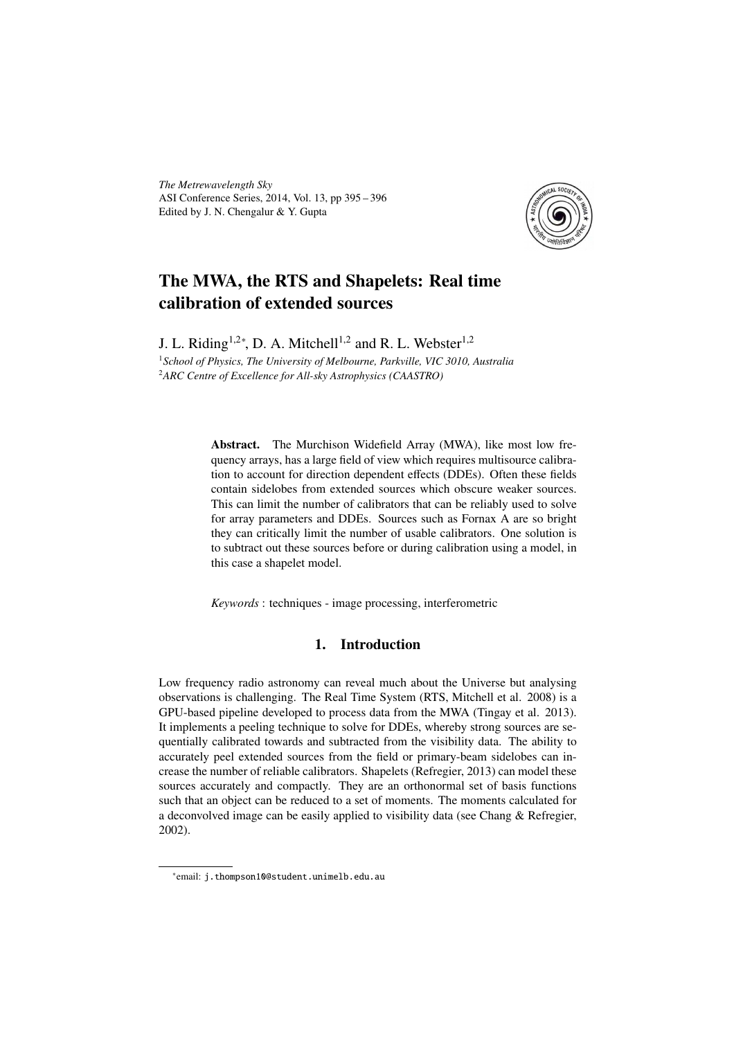*The Metrewavelength Sky* ASI Conference Series, 2014, Vol. 13, pp 395 – 396 Edited by J. N. Chengalur & Y. Gupta



# The MWA, the RTS and Shapelets: Real time calibration of extended sources

J. L. Riding<sup>1,2\*</sup>, D. A. Mitchell<sup>1,2</sup> and R. L. Webster<sup>1,2</sup>

<sup>1</sup>*School of Physics, The University of Melbourne, Parkville, VIC 3010, Australia* <sup>2</sup>*ARC Centre of Excellence for All-sky Astrophysics (CAASTRO)*

> Abstract. The Murchison Widefield Array (MWA), like most low frequency arrays, has a large field of view which requires multisource calibration to account for direction dependent effects (DDEs). Often these fields contain sidelobes from extended sources which obscure weaker sources. This can limit the number of calibrators that can be reliably used to solve for array parameters and DDEs. Sources such as Fornax A are so bright they can critically limit the number of usable calibrators. One solution is to subtract out these sources before or during calibration using a model, in this case a shapelet model.

*Keywords* : techniques - image processing, interferometric

## 1. Introduction

Low frequency radio astronomy can reveal much about the Universe but analysing observations is challenging. The Real Time System (RTS, Mitchell et al. 2008) is a GPU-based pipeline developed to process data from the MWA (Tingay et al. 2013). It implements a peeling technique to solve for DDEs, whereby strong sources are sequentially calibrated towards and subtracted from the visibility data. The ability to accurately peel extended sources from the field or primary-beam sidelobes can increase the number of reliable calibrators. Shapelets (Refregier, 2013) can model these sources accurately and compactly. They are an orthonormal set of basis functions such that an object can be reduced to a set of moments. The moments calculated for a deconvolved image can be easily applied to visibility data (see Chang & Refregier, 2002).

<sup>∗</sup> email: j.thompson10@student.unimelb.edu.au